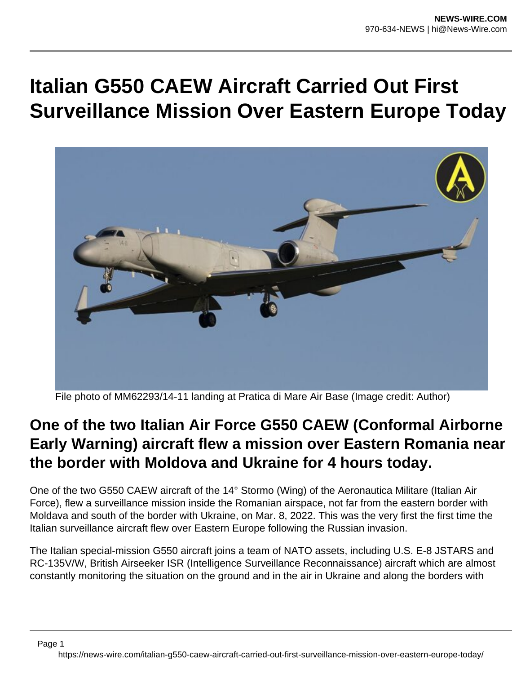## **Italian G550 CAEW Aircraft Carried Out First Surveillance Mission Over Eastern Europe Today**



File photo of MM62293/14-11 landing at Pratica di Mare Air Base (Image credit: Author)

## **One of the two Italian Air Force G550 CAEW (Conformal Airborne Early Warning) aircraft flew a mission over Eastern Romania near the border with Moldova and Ukraine for 4 hours today.**

One of the two G550 CAEW aircraft of the 14° Stormo (Wing) of the Aeronautica Militare (Italian Air Force), flew a surveillance mission inside the Romanian airspace, not far from the eastern border with Moldava and south of the border with Ukraine, on Mar. 8, 2022. This was the very first the first time the Italian surveillance aircraft flew over Eastern Europe following the Russian invasion.

The Italian special-mission G550 aircraft joins a team of NATO assets, including U.S. E-8 JSTARS and RC-135V/W, British Airseeker ISR (Intelligence Surveillance Reconnaissance) aircraft which are almost constantly monitoring the situation on the ground and in the air in Ukraine and along the borders with

Page 1 https://news-wire.com/italian-g550-caew-aircraft-carried-out-first-surveillance-mission-over-eastern-europe-today/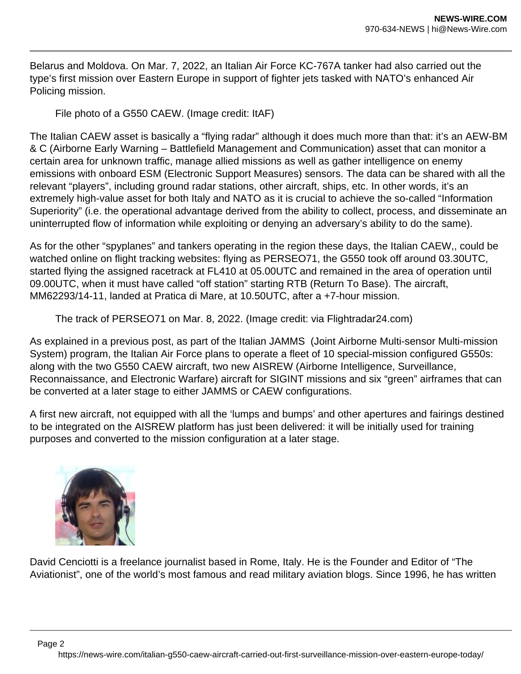Belarus and Moldova. On Mar. 7, 2022, an Italian Air Force KC-767A tanker had also carried out the type's first mission over Eastern Europe in support of fighter jets tasked with NATO's enhanced Air Policing mission.

File photo of a G550 CAEW. (Image credit: ItAF)

The Italian CAEW asset is basically a "flying radar" although it does much more than that: it's an AEW-BM & C (Airborne Early Warning – Battlefield Management and Communication) asset that can monitor a certain area for unknown traffic, manage allied missions as well as gather intelligence on enemy emissions with onboard ESM (Electronic Support Measures) sensors. The data can be shared with all the relevant "players", including ground radar stations, other aircraft, ships, etc. In other words, it's an extremely high-value asset for both Italy and NATO as it is crucial to achieve the so-called "Information Superiority" (i.e. the operational advantage derived from the ability to collect, process, and disseminate an uninterrupted flow of information while exploiting or denying an adversary's ability to do the same).

As for the other "spyplanes" and tankers operating in the region these days, the Italian CAEW,, could be watched online on flight tracking websites: flying as PERSEO71, the G550 took off around 03.30UTC, started flying the assigned racetrack at FL410 at 05.00UTC and remained in the area of operation until 09.00UTC, when it must have called "off station" starting RTB (Return To Base). The aircraft, MM62293/14-11, landed at Pratica di Mare, at 10.50UTC, after a +7-hour mission.

The track of PERSEO71 on Mar. 8, 2022. (Image credit: via Flightradar24.com)

As explained in a previous post, as part of the Italian JAMMS (Joint Airborne Multi-sensor Multi-mission System) program, the Italian Air Force plans to operate a fleet of 10 special-mission configured G550s: along with the two G550 CAEW aircraft, two new AISREW (Airborne Intelligence, Surveillance, Reconnaissance, and Electronic Warfare) aircraft for SIGINT missions and six "green" airframes that can be converted at a later stage to either JAMMS or CAEW configurations.

A first new aircraft, not equipped with all the 'lumps and bumps' and other apertures and fairings destined to be integrated on the AISREW platform has just been delivered: it will be initially used for training purposes and converted to the mission configuration at a later stage.



David Cenciotti is a freelance journalist based in Rome, Italy. He is the Founder and Editor of "The Aviationist", one of the world's most famous and read military aviation blogs. Since 1996, he has written

https://news-wire.com/italian-g550-caew-aircraft-carried-out-first-surveillance-mission-over-eastern-europe-today/

Page 2